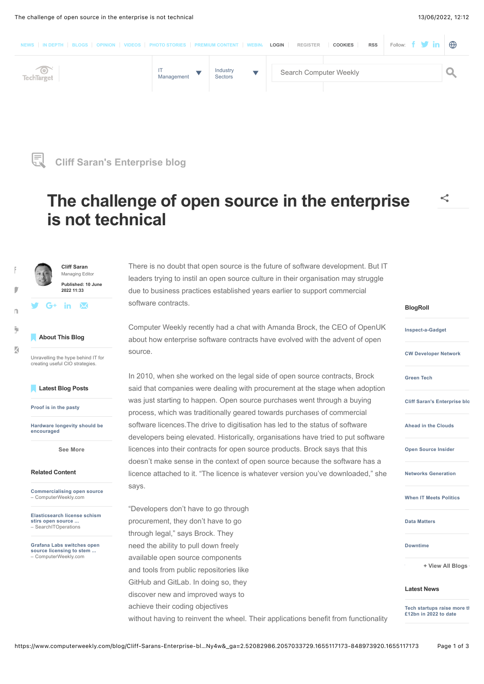



# **The challenge of open source in the enterprise is not technical**



Managing Editor **Published: 10 June 2022 11:33**  $\mathbf{m}$   $\mathbf{w}$ 

 $\mid \cdot \mid$ 

 $\blacksquare$ 

 $\mathsf{n}$ 

[\)](https://www.computerweekly.com/blog/Cliff-Sarans-Enterprise-blog/The-challenge-of-open-source-in-the-enterprise-is-not-technical?vgnextfmt=print)

[&](https://api.addthis.com/oexchange/0.8/forward/email/offer?pubid=uxtechtarget&url=https%3A%2F%2Fwww.computerweekly.com%2Fblog%2FCliff-Sarans-Enterprise-blog%2FThe-challenge-of-open-source-in-the-enterprise-is-not-technical%3F_gl%3D1*iiozih*_ga*ODQ4OTczOTIwLjE2NTUxMTcxNzM.*_ga_TQKE4GS5P9*MTY1NTExNzE3Mi4xLjEuMTY1NTExNzI0Ny4w%26_ga%3D2.52082986.2057033729.1655117173-848973920.1655117173&title=The+challenge+of+open+source+in+the+enterprise+is+not+technical&email_template=TechTargetSearchSites&ct=1)

Unravelling the hype behind IT for creating useful CIO strategies

**[Cliff Saran](https://www.techtarget.com/contributor/Cliff-Saran)**

### '**Latest Blog Posts**

**[Proof is in the pasty](https://www.computerweekly.com/blog/Cliff-Sarans-Enterprise-blog/Proof-is-in-the-pasty)**

**[Hardware longevity should be](https://www.computerweekly.com/blog/Cliff-Sarans-Enterprise-blog/Hardware-longevity-should-be-encouraged) encouraged**

**[See More](https://www.computerweekly.com/blog/Cliff-Sarans-Enterprise-blog)**

#### **Related Content**

**[Commercialising open source](https://www.computerweekly.com/news/252521310/Commercialising-open-source)** – ComputerWeekly.com

**[Elasticsearch license schism](https://www.techtarget.com/searchitoperations/news/252496121/Elasticsearch-license-schism-stirs-open-source-funding-fears) stirs open source ...** – SearchITOperations

**[Grafana Labs switches open](https://www.computerweekly.com/news/252499678/Grafana-Labs-switches-open-source-licensing-to-stem-strip-mining-tactics) source licensing to stem ...** – ComputerWeekly.com

There is no doubt that open source is the future of software development. But IT leaders trying to instil an open source culture in their organisation may struggle due to business practices established years earlier to support commercial software contracts.

Computer Weekly recently had a chat with Amanda Brock, the CEO of OpenUK about how enterprise software contracts have evolved with the advent of open source.

In 2010, when she worked on the legal side of open source contracts, Brock said that companies were dealing with procurement at the stage when adoption was just starting to happen. Open source purchases went through a buying process, which was traditionally geared towards purchases of commercial software licences.The drive to digitisation has led to the status of software developers being elevated. Historically, organisations have tried to put software licences into their contracts for open source products. Brock says that this doesn't make sense in the context of open source because the software has a licence attached to it. "The licence is whatever version you've downloaded," she says.

"Developers don't have to go through procurement, they don't have to go through legal," says Brock. They need the ability to pull down freely available open source components and tools from public repositories like GitHub and GitLab. In doing so, they discover new and improved ways to achieve their coding objectives without having to reinvent the wheel. Their applications benefit from functionality

### **BlogRoll**

**[Inspect-a-Gadget](https://www.computerweekly.com/blog/Inspect-a-Gadget)**

**[CW Developer Network](https://www.computerweekly.com/blog/CW-Developer-Network)**

**[Green Tech](https://www.computerweekly.com/blog/Green-Tech)**

**[Cliff Saran's Enterprise blo](https://www.computerweekly.com/blog/Cliff-Sarans-Enterprise-blog)g**

**[Ahead in the Clouds](https://www.computerweekly.com/blog/Ahead-in-the-Clouds)**

**[Open Source Insider](https://www.computerweekly.com/blog/Open-Source-Insider)**

**[Networks Generation](https://www.computerweekly.com/blog/Networks-Generation)**

**[When IT Meets Politics](https://www.computerweekly.com/blog/When-IT-Meets-Politics)**

**[Data Matters](https://www.computerweekly.com/blog/Data-Matters)**

**[Downtime](https://www.computerweekly.com/blog/Downtime)**

**[Write side up - by Freeform](https://www.computerweekly.com/blog/Write-side-up-by-Freeform-Dynamics) + View All Blogs**

#### **Latest News**

**[Tech startups raise more th](https://www.computerweekly.com/news/252521379/Tech-startups-raise-more-than-12bn-in-2022-to-date)at £12bn in 2022 to date**